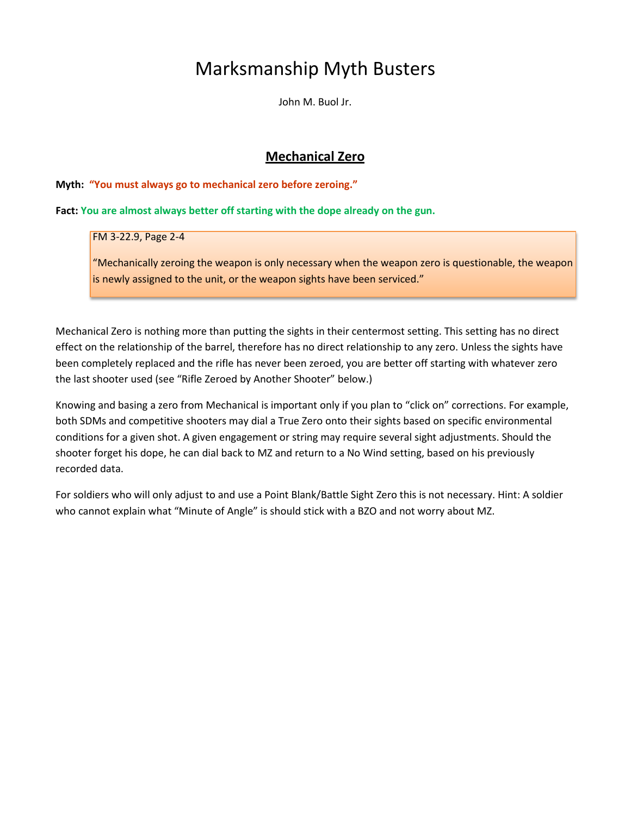# Marksmanship Myth Busters

John M. Buol Jr.

# **Mechanical Zero**

#### **Myth: "You must always go to mechanical zero before zeroing."**

#### **Fact: You are almost always better off starting with the dope already on the gun.**

#### FM 3-22.9, Page 2-4

"Mechanically zeroing the weapon is only necessary when the weapon zero is questionable, the weapon is newly assigned to the unit, or the weapon sights have been serviced."

Mechanical Zero is nothing more than putting the sights in their centermost setting. This setting has no direct effect on the relationship of the barrel, therefore has no direct relationship to any zero. Unless the sights have been completely replaced and the rifle has never been zeroed, you are better off starting with whatever zero the last shooter used (see "Rifle Zeroed by Another Shooter" below.)

Knowing and basing a zero from Mechanical is important only if you plan to "click on" corrections. For example, both SDMs and competitive shooters may dial a True Zero onto their sights based on specific environmental conditions for a given shot. A given engagement or string may require several sight adjustments. Should the shooter forget his dope, he can dial back to MZ and return to a No Wind setting, based on his previously recorded data.

For soldiers who will only adjust to and use a Point Blank/Battle Sight Zero this is not necessary. Hint: A soldier who cannot explain what "Minute of Angle" is should stick with a BZO and not worry about MZ.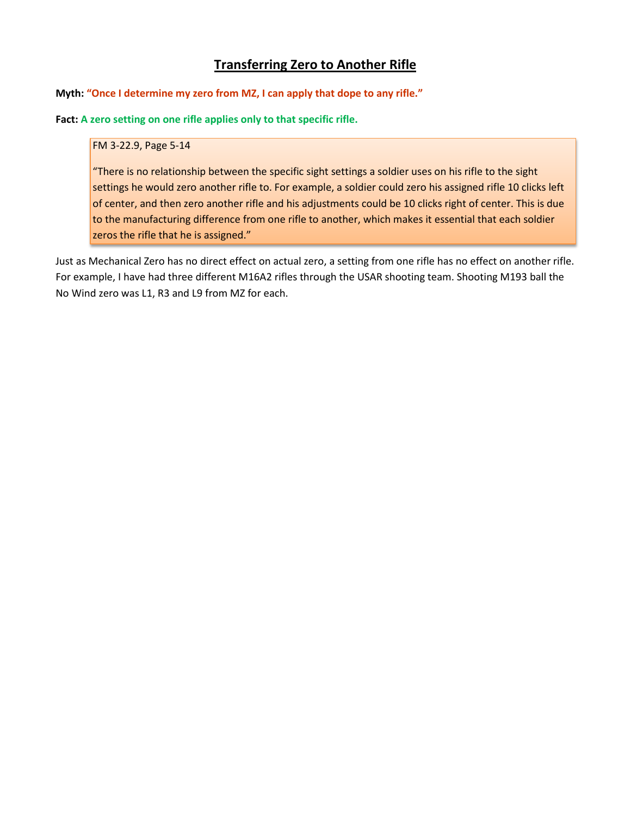# **Transferring Zero to Another Rifle**

**Myth: "Once I determine my zero from MZ, I can apply that dope to any rifle."**

**Fact: A zero setting on one rifle applies only to that specific rifle.**

#### FM 3-22.9, Page 5-14

"There is no relationship between the specific sight settings a soldier uses on his rifle to the sight settings he would zero another rifle to. For example, a soldier could zero his assigned rifle 10 clicks left of center, and then zero another rifle and his adjustments could be 10 clicks right of center. This is due to the manufacturing difference from one rifle to another, which makes it essential that each soldier zeros the rifle that he is assigned."

Just as Mechanical Zero has no direct effect on actual zero, a setting from one rifle has no effect on another rifle. For example, I have had three different M16A2 rifles through the USAR shooting team. Shooting M193 ball the No Wind zero was L1, R3 and L9 from MZ for each.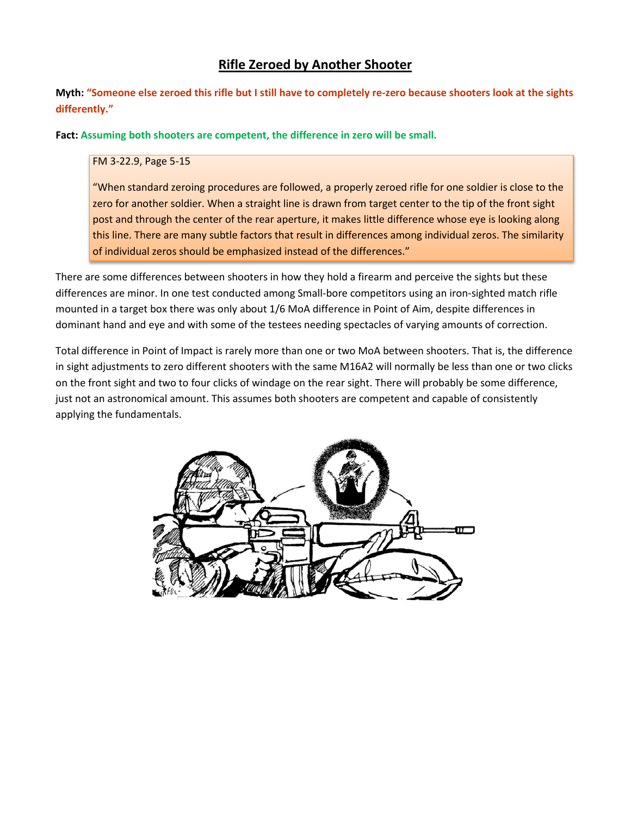# **Rifle Zeroed by Another Shooter**

**Myth: "Someone else zeroed this rifle but I still have to completely re-zero because shooters look at the sights differently."**

**Fact: Assuming both shooters are competent, the difference in zero will be small.**

#### FM 3-22.9, Page 5-15

"When standard zeroing procedures are followed, a properly zeroed rifle for one soldier is close to the zero for another soldier. When a straight line is drawn from target center to the tip of the front sight post and through the center of the rear aperture, it makes little difference whose eye is looking along this line. There are many subtle factors that result in differences among individual zeros. The similarity of individual zeros should be emphasized instead of the differences."

There are some differences between shooters in how they hold a firearm and perceive the sights but these differences are minor. In one test conducted among Small-bore competitors using an iron-sighted match rifle mounted in a target box there was only about 1/6 MoA difference in Point of Aim, despite differences in dominant hand and eye and with some of the testees needing spectacles of varying amounts of correction.

Total difference in Point of Impact is rarely more than one or two MoA between shooters. That is, the difference in sight adjustments to zero different shooters with the same M16A2 will normally be less than one or two clicks on the front sight and two to four clicks of windage on the rear sight. There will probably be some difference, just not an astronomical amount. This assumes both shooters are competent and capable of consistently applying the fundamentals.

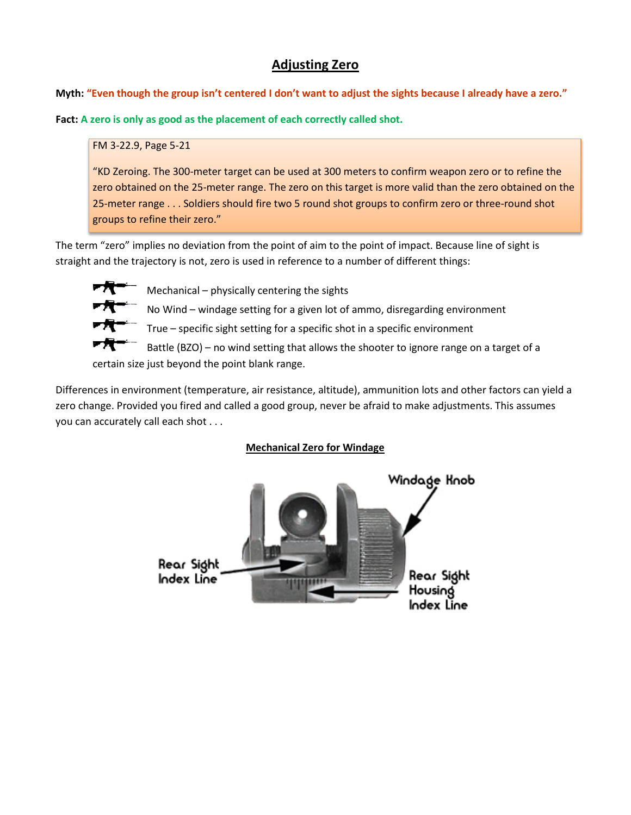# **Adjusting Zero**

**Myth: "Even though the group isn't centered I don't want to adjust the sights because I already have a zero."**

**Fact: A zero is only as good as the placement of each correctly called shot.**

#### FM 3-22.9, Page 5-21

"KD Zeroing. The 300-meter target can be used at 300 meters to confirm weapon zero or to refine the zero obtained on the 25-meter range. The zero on this target is more valid than the zero obtained on the 25-meter range . . . Soldiers should fire two 5 round shot groups to confirm zero or three-round shot groups to refine their zero."

The term "zero" implies no deviation from the point of aim to the point of impact. Because line of sight is straight and the trajectory is not, zero is used in reference to a number of different things:



Mechanical – physically centering the sights

No Wind – windage setting for a given lot of ammo, disregarding environment

True – specific sight setting for a specific shot in a specific environment

 Battle (BZO) – no wind setting that allows the shooter to ignore range on a target of a certain size just beyond the point blank range.

Differences in environment (temperature, air resistance, altitude), ammunition lots and other factors can yield a zero change. Provided you fired and called a good group, never be afraid to make adjustments. This assumes you can accurately call each shot . . .

### **Mechanical Zero for Windage**

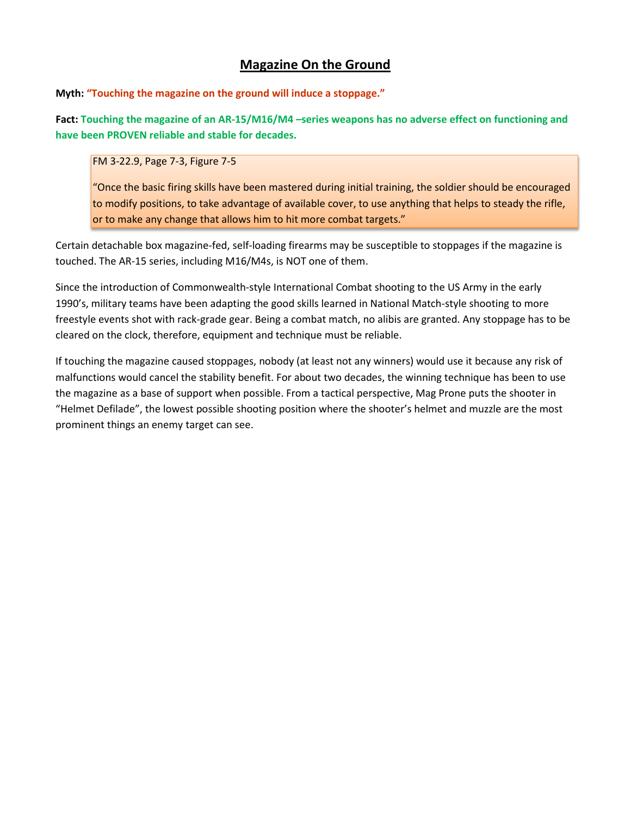# **Magazine On the Ground**

**Myth: "Touching the magazine on the ground will induce a stoppage."**

**Fact: Touching the magazine of an AR-15/M16/M4 –series weapons has no adverse effect on functioning and have been PROVEN reliable and stable for decades.**

FM 3-22.9, Page 7-3, Figure 7-5

"Once the basic firing skills have been mastered during initial training, the soldier should be encouraged to modify positions, to take advantage of available cover, to use anything that helps to steady the rifle, or to make any change that allows him to hit more combat targets."

Certain detachable box magazine-fed, self-loading firearms may be susceptible to stoppages if the magazine is touched. The AR-15 series, including M16/M4s, is NOT one of them.

Since the introduction of Commonwealth-style International Combat shooting to the US Army in the early 1990's, military teams have been adapting the good skills learned in National Match-style shooting to more freestyle events shot with rack-grade gear. Being a combat match, no alibis are granted. Any stoppage has to be cleared on the clock, therefore, equipment and technique must be reliable.

If touching the magazine caused stoppages, nobody (at least not any winners) would use it because any risk of malfunctions would cancel the stability benefit. For about two decades, the winning technique has been to use the magazine as a base of support when possible. From a tactical perspective, Mag Prone puts the shooter in "Helmet Defilade", the lowest possible shooting position where the shooter's helmet and muzzle are the most prominent things an enemy target can see.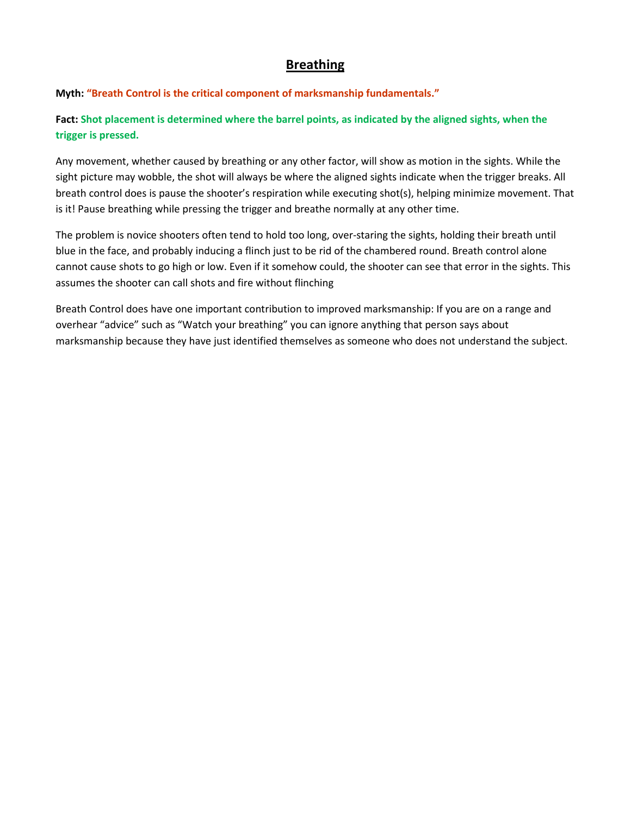# **Breathing**

**Myth: "Breath Control is the critical component of marksmanship fundamentals."**

**Fact: Shot placement is determined where the barrel points, as indicated by the aligned sights, when the trigger is pressed.**

Any movement, whether caused by breathing or any other factor, will show as motion in the sights. While the sight picture may wobble, the shot will always be where the aligned sights indicate when the trigger breaks. All breath control does is pause the shooter's respiration while executing shot(s), helping minimize movement. That is it! Pause breathing while pressing the trigger and breathe normally at any other time.

The problem is novice shooters often tend to hold too long, over-staring the sights, holding their breath until blue in the face, and probably inducing a flinch just to be rid of the chambered round. Breath control alone cannot cause shots to go high or low. Even if it somehow could, the shooter can see that error in the sights. This assumes the shooter can call shots and fire without flinching

Breath Control does have one important contribution to improved marksmanship: If you are on a range and overhear "advice" such as "Watch your breathing" you can ignore anything that person says about marksmanship because they have just identified themselves as someone who does not understand the subject.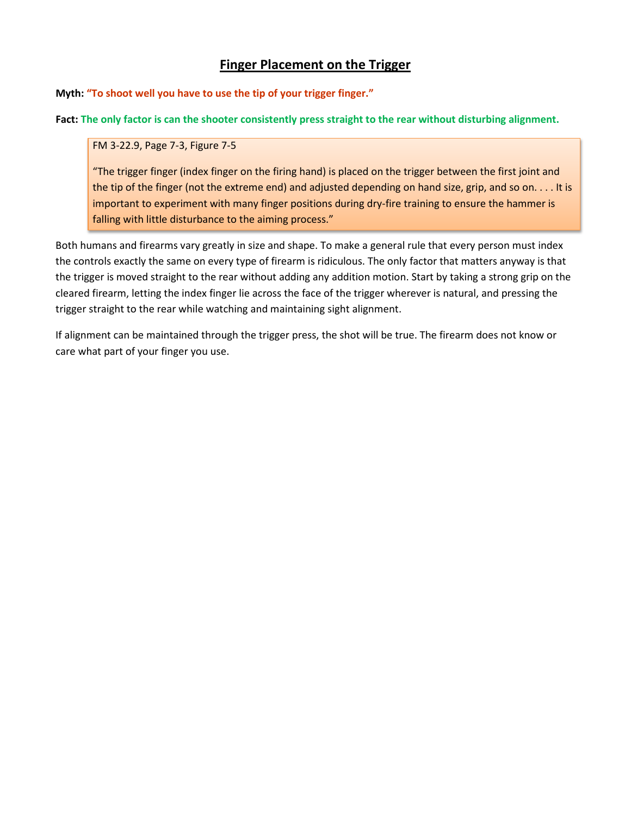# **Finger Placement on the Trigger**

**Myth: "To shoot well you have to use the tip of your trigger finger."**

**Fact: The only factor is can the shooter consistently press straight to the rear without disturbing alignment.**

FM 3-22.9, Page 7-3, Figure 7-5

"The trigger finger (index finger on the firing hand) is placed on the trigger between the first joint and the tip of the finger (not the extreme end) and adjusted depending on hand size, grip, and so on. . . . It is important to experiment with many finger positions during dry-fire training to ensure the hammer is falling with little disturbance to the aiming process."

Both humans and firearms vary greatly in size and shape. To make a general rule that every person must index the controls exactly the same on every type of firearm is ridiculous. The only factor that matters anyway is that the trigger is moved straight to the rear without adding any addition motion. Start by taking a strong grip on the cleared firearm, letting the index finger lie across the face of the trigger wherever is natural, and pressing the trigger straight to the rear while watching and maintaining sight alignment.

If alignment can be maintained through the trigger press, the shot will be true. The firearm does not know or care what part of your finger you use.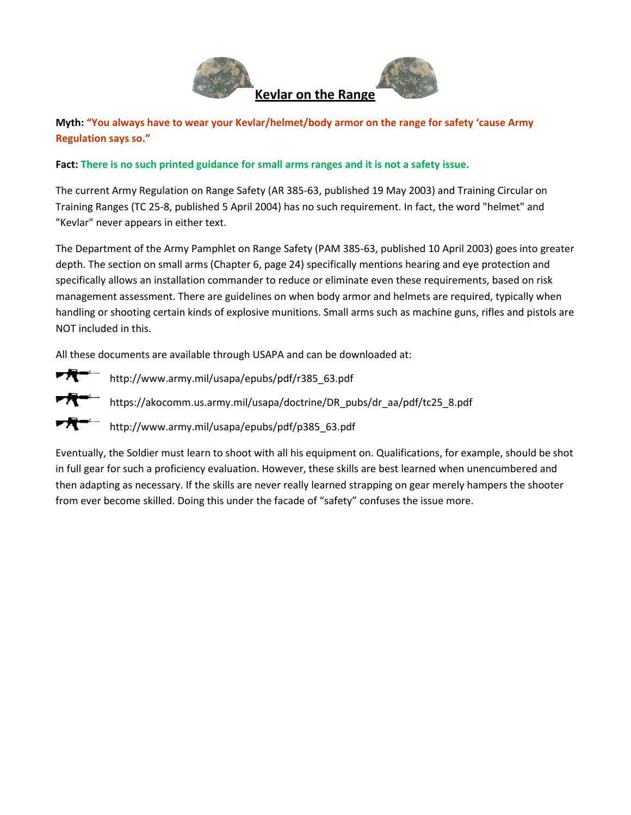



**Myth: "You always have to wear your Kevlar/helmet/body armor on the range for safety 'cause Army Regulation says so."**

#### **Fact: There is no such printed guidance for small arms ranges and it is not a safety issue.**

The current Army Regulation on Range Safety (AR 385-63, published 19 May 2003) and Training Circular on Training Ranges (TC 25-8, published 5 April 2004) has no such requirement. In fact, the word "helmet" and "Kevlar" never appears in either text.

The Department of the Army Pamphlet on Range Safety (PAM 385-63, published 10 April 2003) goes into greater depth. The section on small arms (Chapter 6, page 24) specifically mentions hearing and eye protection and specifically allows an installation commander to reduce or eliminate even these requirements, based on risk management assessment. There are guidelines on when body armor and helmets are required, typically when handling or shooting certain kinds of explosive munitions. Small arms such as machine guns, rifles and pistols are NOT included in this.

All these documents are available through USAPA and can be downloaded at:



http://www.army.mil/usapa/epubs/pdf/r385\_63.pdf

https://akocomm.us.army.mil/usapa/doctrine/DR\_pubs/dr\_aa/pdf/tc25\_8.pdf

http://www.army.mil/usapa/epubs/pdf/p385\_63.pdf

Eventually, the Soldier must learn to shoot with all his equipment on. Qualifications, for example, should be shot in full gear for such a proficiency evaluation. However, these skills are best learned when unencumbered and then adapting as necessary. If the skills are never really learned strapping on gear merely hampers the shooter from ever become skilled. Doing this under the facade of "safety" confuses the issue more.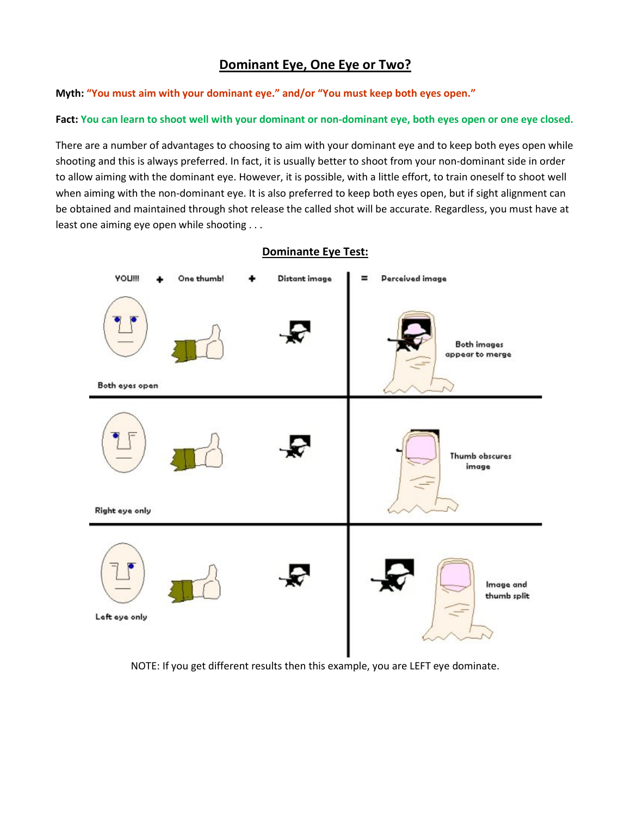# **Dominant Eye, One Eye or Two?**

**Myth: "You must aim with your dominant eye." and/or "You must keep both eyes open."** 

#### **Fact: You can learn to shoot well with your dominant or non-dominant eye, both eyes open or one eye closed.**

There are a number of advantages to choosing to aim with your dominant eye and to keep both eyes open while shooting and this is always preferred. In fact, it is usually better to shoot from your non-dominant side in order to allow aiming with the dominant eye. However, it is possible, with a little effort, to train oneself to shoot well when aiming with the non-dominant eye. It is also preferred to keep both eyes open, but if sight alignment can be obtained and maintained through shot release the called shot will be accurate. Regardless, you must have at least one aiming eye open while shooting . . .



NOTE: If you get different results then this example, you are LEFT eye dominate.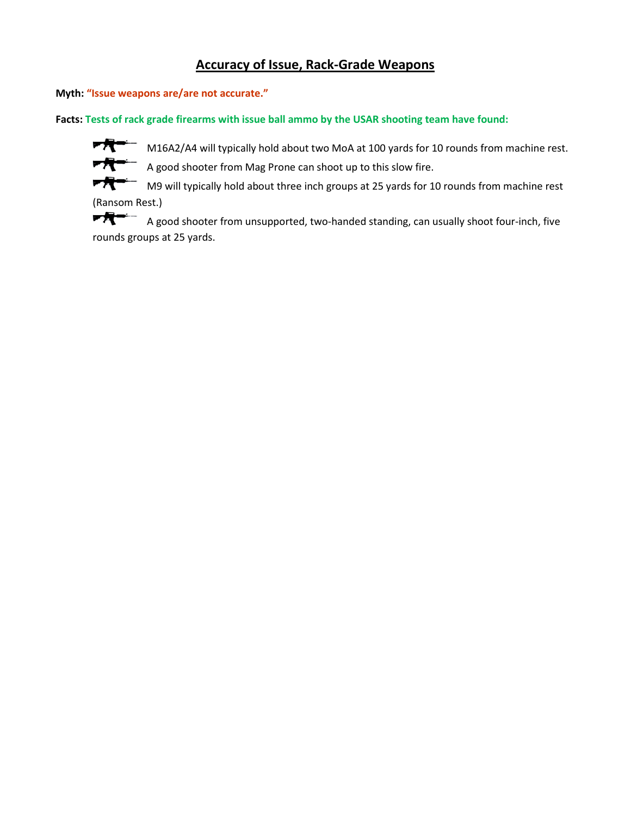# **Accuracy of Issue, Rack-Grade Weapons**

**Myth: "Issue weapons are/are not accurate."**

**Facts: Tests of rack grade firearms with issue ball ammo by the USAR shooting team have found:**



 $\overline{\mathcal{H}}$  M16A2/A4 will typically hold about two MoA at 100 yards for 10 rounds from machine rest.

 $\overline{M}$   $\overline{A}$  A good shooter from Mag Prone can shoot up to this slow fire.

▼凭" M9 will typically hold about three inch groups at 25 yards for 10 rounds from machine rest (Ransom Rest.)

▛<del>▜</del>▀ A good shooter from unsupported, two-handed standing, can usually shoot four-inch, five rounds groups at 25 yards.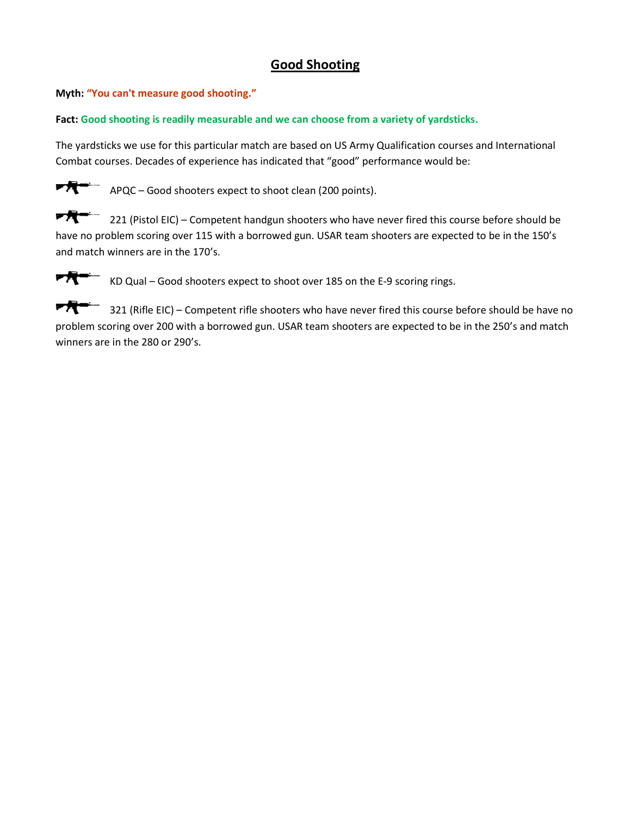# **Good Shooting**

**Myth: "You can't measure good shooting."**

#### **Fact: Good shooting is readily measurable and we can choose from a variety of yardsticks.**

The yardsticks we use for this particular match are based on US Army Qualification courses and International Combat courses. Decades of experience has indicated that "good" performance would be:



 $\overline{\mathbf{P}}$  APQC – Good shooters expect to shoot clean (200 points).

医黄色 221 (Pistol EIC) – Competent handgun shooters who have never fired this course before should be have no problem scoring over 115 with a borrowed gun. USAR team shooters are expected to be in the 150's and match winners are in the 170's.



 $\overline{\mathbf{r}}$  KD Qual – Good shooters expect to shoot over 185 on the E-9 scoring rings.

**FR-** 321 (Rifle EIC) – Competent rifle shooters who have never fired this course before should be have no problem scoring over 200 with a borrowed gun. USAR team shooters are expected to be in the 250's and match winners are in the 280 or 290's.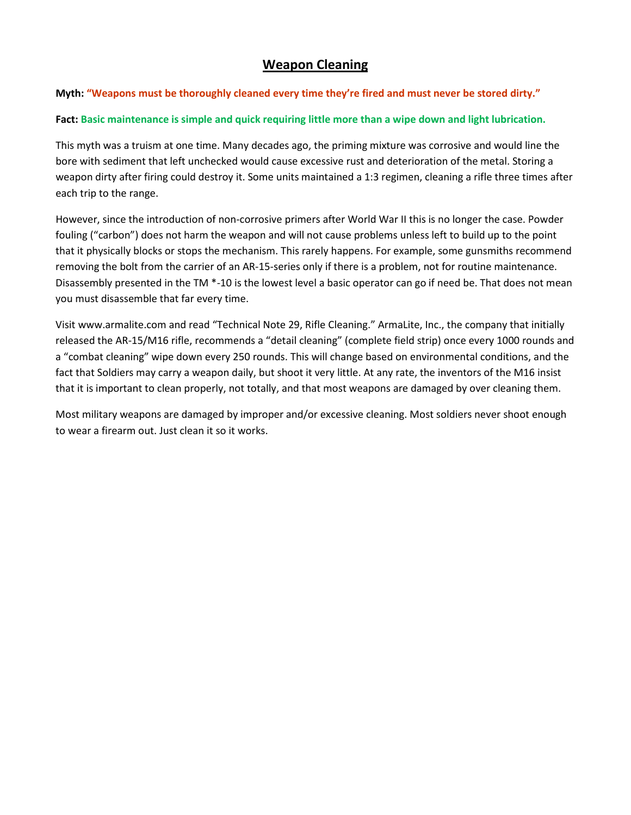## **Weapon Cleaning**

#### **Myth: "Weapons must be thoroughly cleaned every time they're fired and must never be stored dirty."**

#### **Fact: Basic maintenance is simple and quick requiring little more than a wipe down and light lubrication.**

This myth was a truism at one time. Many decades ago, the priming mixture was corrosive and would line the bore with sediment that left unchecked would cause excessive rust and deterioration of the metal. Storing a weapon dirty after firing could destroy it. Some units maintained a 1:3 regimen, cleaning a rifle three times after each trip to the range.

However, since the introduction of non-corrosive primers after World War II this is no longer the case. Powder fouling ("carbon") does not harm the weapon and will not cause problems unless left to build up to the point that it physically blocks or stops the mechanism. This rarely happens. For example, some gunsmiths recommend removing the bolt from the carrier of an AR-15-series only if there is a problem, not for routine maintenance. Disassembly presented in the TM \*-10 is the lowest level a basic operator can go if need be. That does not mean you must disassemble that far every time.

Visit www.armalite.com and read "Technical Note 29, Rifle Cleaning." ArmaLite, Inc., the company that initially released the AR-15/M16 rifle, recommends a "detail cleaning" (complete field strip) once every 1000 rounds and a "combat cleaning" wipe down every 250 rounds. This will change based on environmental conditions, and the fact that Soldiers may carry a weapon daily, but shoot it very little. At any rate, the inventors of the M16 insist that it is important to clean properly, not totally, and that most weapons are damaged by over cleaning them.

Most military weapons are damaged by improper and/or excessive cleaning. Most soldiers never shoot enough to wear a firearm out. Just clean it so it works.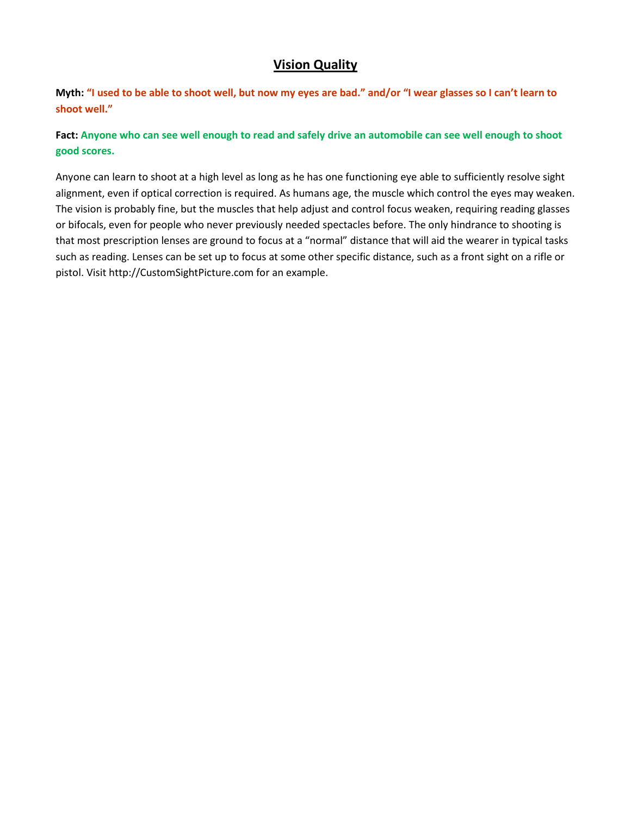### **Vision Quality**

**Myth: "I used to be able to shoot well, but now my eyes are bad." and/or "I wear glasses so I can't learn to shoot well."**

**Fact: Anyone who can see well enough to read and safely drive an automobile can see well enough to shoot good scores.**

Anyone can learn to shoot at a high level as long as he has one functioning eye able to sufficiently resolve sight alignment, even if optical correction is required. As humans age, the muscle which control the eyes may weaken. The vision is probably fine, but the muscles that help adjust and control focus weaken, requiring reading glasses or bifocals, even for people who never previously needed spectacles before. The only hindrance to shooting is that most prescription lenses are ground to focus at a "normal" distance that will aid the wearer in typical tasks such as reading. Lenses can be set up to focus at some other specific distance, such as a front sight on a rifle or pistol. Visit http://CustomSightPicture.com for an example.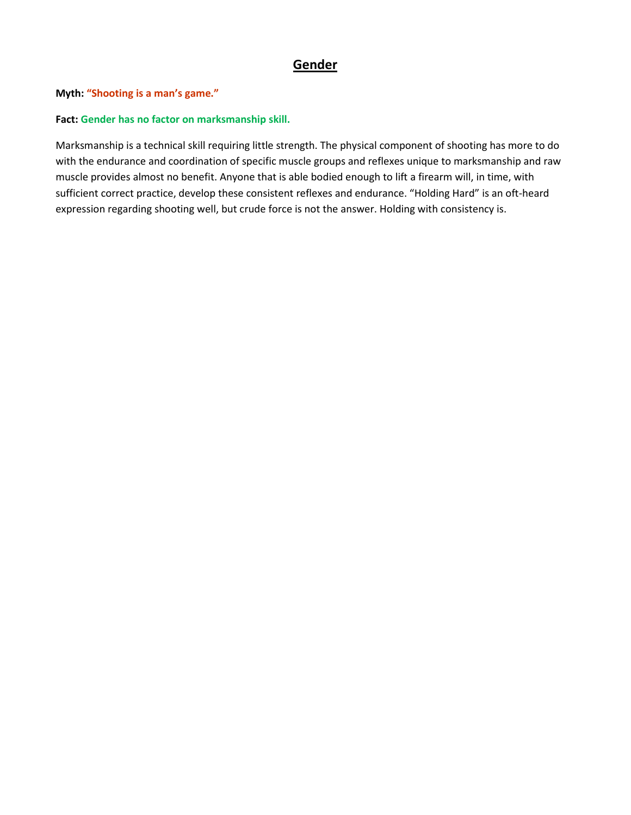# **Gender**

**Myth: "Shooting is a man's game."**

#### **Fact: Gender has no factor on marksmanship skill.**

Marksmanship is a technical skill requiring little strength. The physical component of shooting has more to do with the endurance and coordination of specific muscle groups and reflexes unique to marksmanship and raw muscle provides almost no benefit. Anyone that is able bodied enough to lift a firearm will, in time, with sufficient correct practice, develop these consistent reflexes and endurance. "Holding Hard" is an oft-heard expression regarding shooting well, but crude force is not the answer. Holding with consistency is.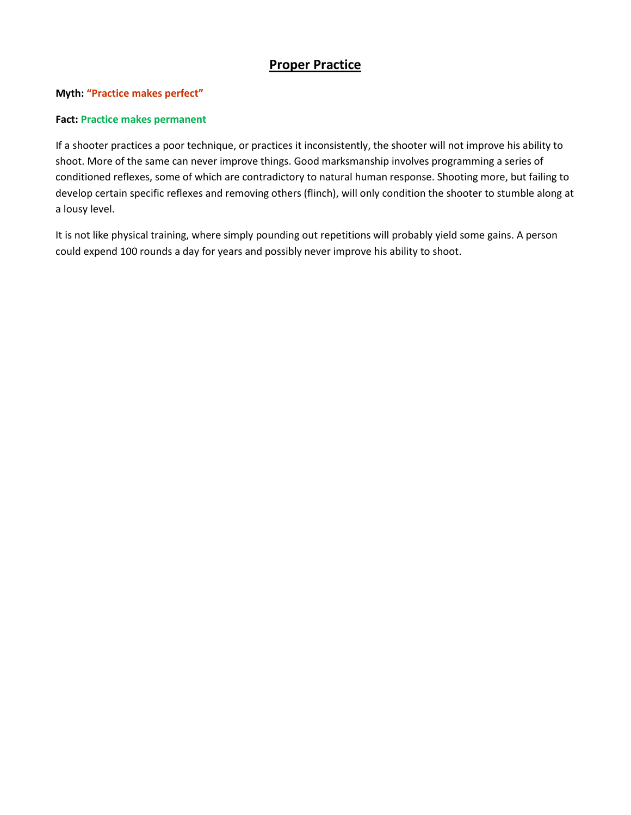## **Proper Practice**

#### **Myth: "Practice makes perfect"**

#### **Fact: Practice makes permanent**

If a shooter practices a poor technique, or practices it inconsistently, the shooter will not improve his ability to shoot. More of the same can never improve things. Good marksmanship involves programming a series of conditioned reflexes, some of which are contradictory to natural human response. Shooting more, but failing to develop certain specific reflexes and removing others (flinch), will only condition the shooter to stumble along at a lousy level.

It is not like physical training, where simply pounding out repetitions will probably yield some gains. A person could expend 100 rounds a day for years and possibly never improve his ability to shoot.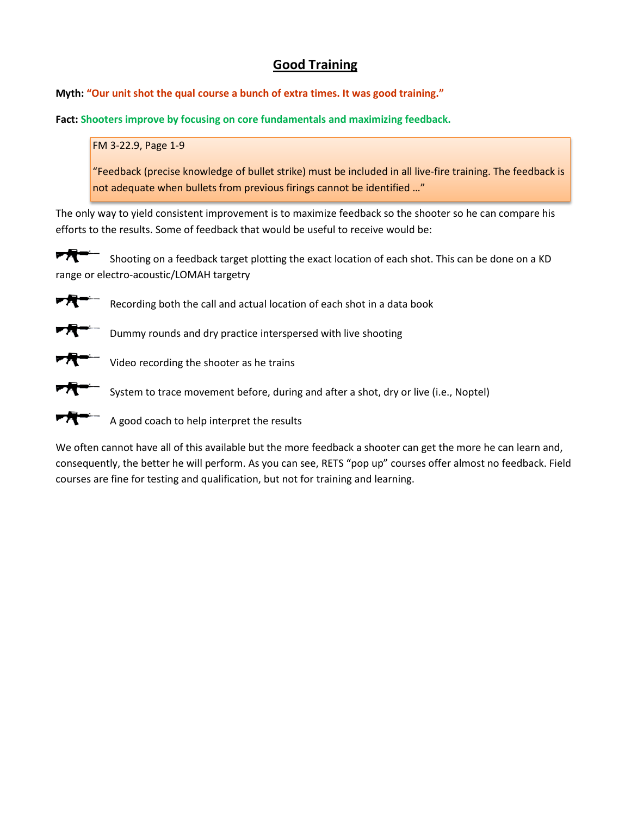# **Good Training**

**Myth: "Our unit shot the qual course a bunch of extra times. It was good training."**

**Fact: Shooters improve by focusing on core fundamentals and maximizing feedback.**

FM 3-22.9, Page 1-9

"Feedback (precise knowledge of bullet strike) must be included in all live-fire training. The feedback is not adequate when bullets from previous firings cannot be identified …"

The only way to yield consistent improvement is to maximize feedback so the shooter so he can compare his efforts to the results. Some of feedback that would be useful to receive would be:

☞梵一 Shooting on a feedback target plotting the exact location of each shot. This can be done on a KD range or electro-acoustic/LOMAH targetry

☞梵" Recording both the call and actual location of each shot in a data book

Dummy rounds and dry practice interspersed with live shooting

Video recording the shooter as he trains

System to trace movement before, during and after a shot, dry or live (i.e., Noptel)

A good coach to help interpret the results

We often cannot have all of this available but the more feedback a shooter can get the more he can learn and, consequently, the better he will perform. As you can see, RETS "pop up" courses offer almost no feedback. Field courses are fine for testing and qualification, but not for training and learning.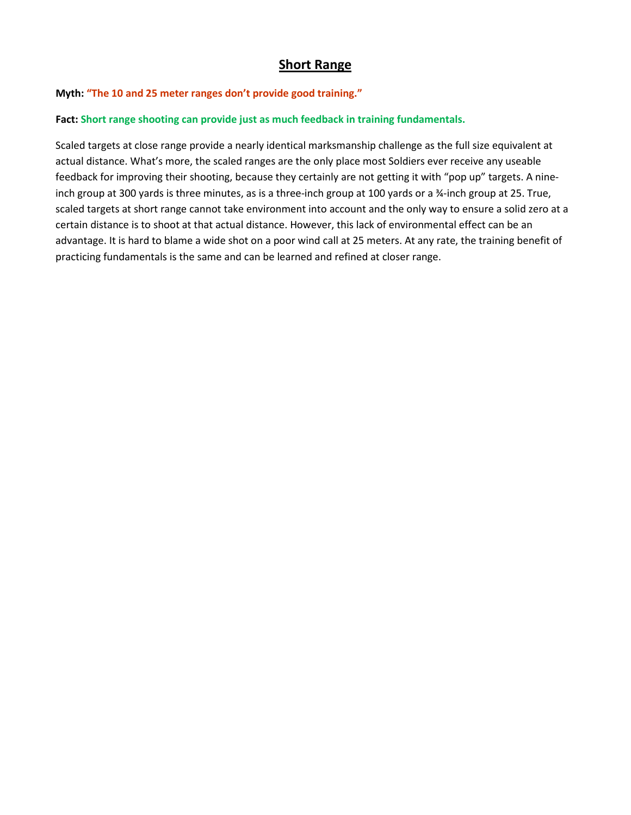### **Short Range**

#### **Myth: "The 10 and 25 meter ranges don't provide good training."**

#### **Fact: Short range shooting can provide just as much feedback in training fundamentals.**

Scaled targets at close range provide a nearly identical marksmanship challenge as the full size equivalent at actual distance. What's more, the scaled ranges are the only place most Soldiers ever receive any useable feedback for improving their shooting, because they certainly are not getting it with "pop up" targets. A nineinch group at 300 yards is three minutes, as is a three-inch group at 100 yards or a ¾-inch group at 25. True, scaled targets at short range cannot take environment into account and the only way to ensure a solid zero at a certain distance is to shoot at that actual distance. However, this lack of environmental effect can be an advantage. It is hard to blame a wide shot on a poor wind call at 25 meters. At any rate, the training benefit of practicing fundamentals is the same and can be learned and refined at closer range.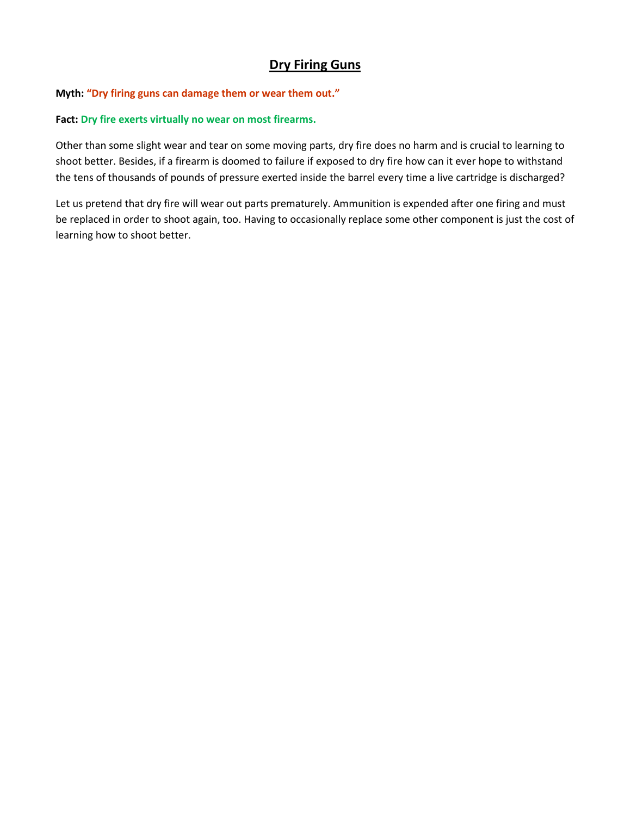# **Dry Firing Guns**

#### **Myth: "Dry firing guns can damage them or wear them out."**

#### **Fact: Dry fire exerts virtually no wear on most firearms.**

Other than some slight wear and tear on some moving parts, dry fire does no harm and is crucial to learning to shoot better. Besides, if a firearm is doomed to failure if exposed to dry fire how can it ever hope to withstand the tens of thousands of pounds of pressure exerted inside the barrel every time a live cartridge is discharged?

Let us pretend that dry fire will wear out parts prematurely. Ammunition is expended after one firing and must be replaced in order to shoot again, too. Having to occasionally replace some other component is just the cost of learning how to shoot better.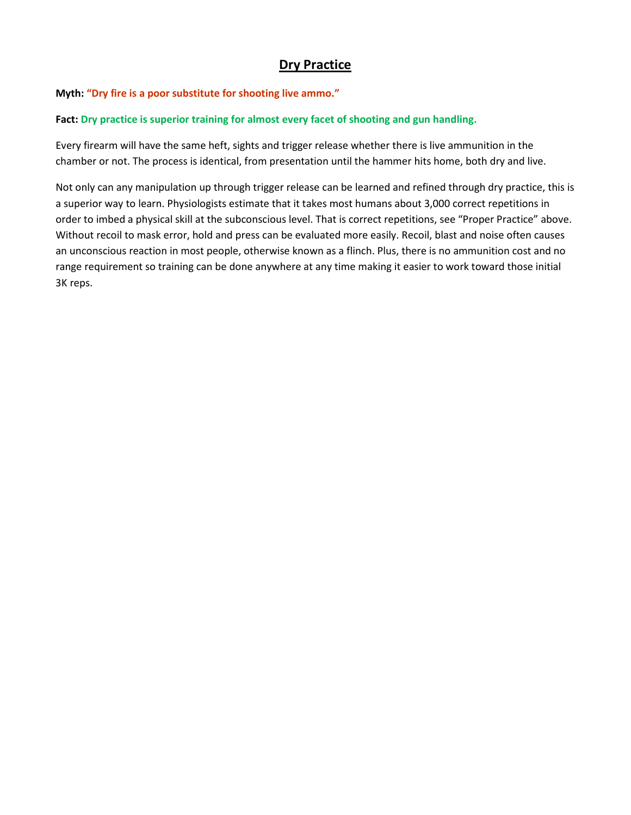# **Dry Practice**

#### **Myth: "Dry fire is a poor substitute for shooting live ammo."**

#### **Fact: Dry practice is superior training for almost every facet of shooting and gun handling.**

Every firearm will have the same heft, sights and trigger release whether there is live ammunition in the chamber or not. The process is identical, from presentation until the hammer hits home, both dry and live.

Not only can any manipulation up through trigger release can be learned and refined through dry practice, this is a superior way to learn. Physiologists estimate that it takes most humans about 3,000 correct repetitions in order to imbed a physical skill at the subconscious level. That is correct repetitions, see "Proper Practice" above. Without recoil to mask error, hold and press can be evaluated more easily. Recoil, blast and noise often causes an unconscious reaction in most people, otherwise known as a flinch. Plus, there is no ammunition cost and no range requirement so training can be done anywhere at any time making it easier to work toward those initial 3K reps.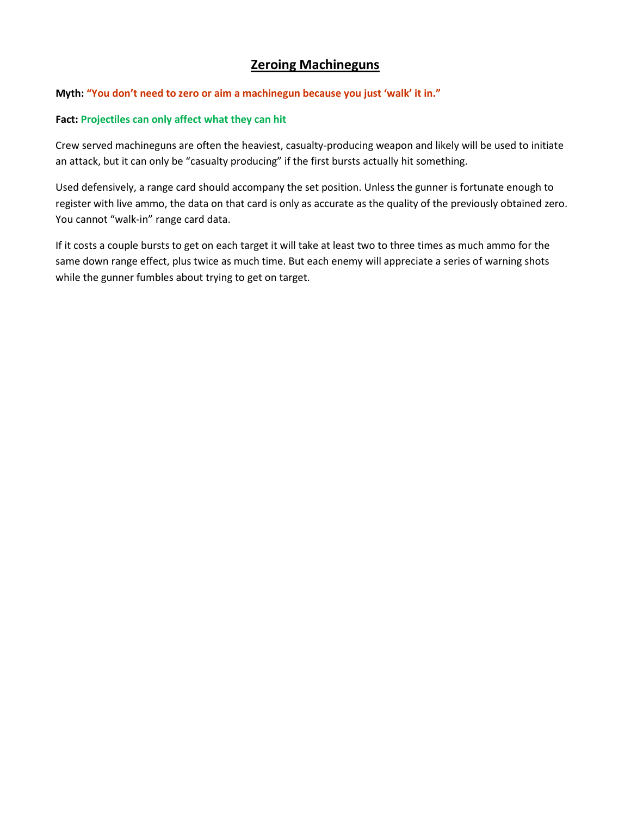# **Zeroing Machineguns**

#### **Myth: "You don't need to zero or aim a machinegun because you just 'walk' it in."**

#### **Fact: Projectiles can only affect what they can hit**

Crew served machineguns are often the heaviest, casualty-producing weapon and likely will be used to initiate an attack, but it can only be "casualty producing" if the first bursts actually hit something.

Used defensively, a range card should accompany the set position. Unless the gunner is fortunate enough to register with live ammo, the data on that card is only as accurate as the quality of the previously obtained zero. You cannot "walk-in" range card data.

If it costs a couple bursts to get on each target it will take at least two to three times as much ammo for the same down range effect, plus twice as much time. But each enemy will appreciate a series of warning shots while the gunner fumbles about trying to get on target.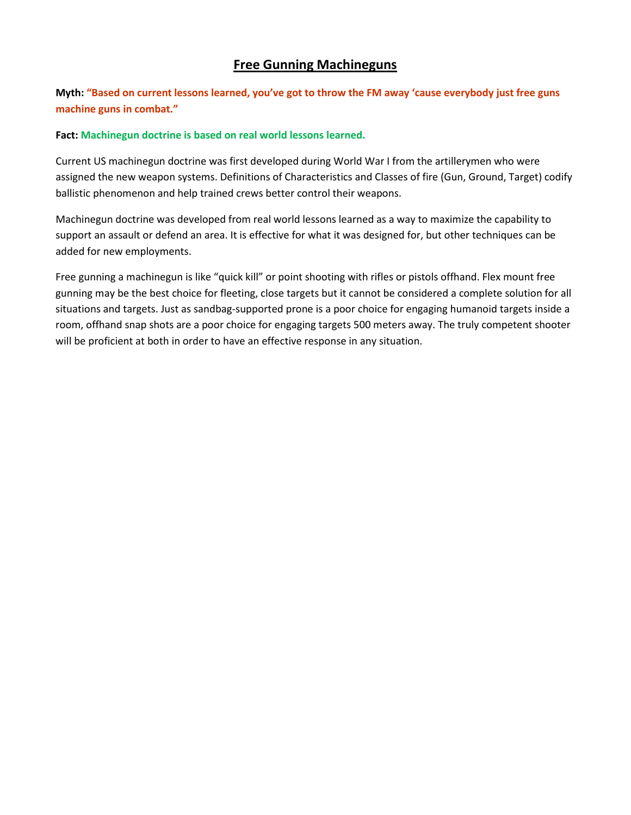### **Free Gunning Machineguns**

**Myth: "Based on current lessons learned, you've got to throw the FM away 'cause everybody just free guns machine guns in combat."**

#### **Fact: Machinegun doctrine is based on real world lessons learned.**

Current US machinegun doctrine was first developed during World War I from the artillerymen who were assigned the new weapon systems. Definitions of Characteristics and Classes of fire (Gun, Ground, Target) codify ballistic phenomenon and help trained crews better control their weapons.

Machinegun doctrine was developed from real world lessons learned as a way to maximize the capability to support an assault or defend an area. It is effective for what it was designed for, but other techniques can be added for new employments.

Free gunning a machinegun is like "quick kill" or point shooting with rifles or pistols offhand. Flex mount free gunning may be the best choice for fleeting, close targets but it cannot be considered a complete solution for all situations and targets. Just as sandbag-supported prone is a poor choice for engaging humanoid targets inside a room, offhand snap shots are a poor choice for engaging targets 500 meters away. The truly competent shooter will be proficient at both in order to have an effective response in any situation.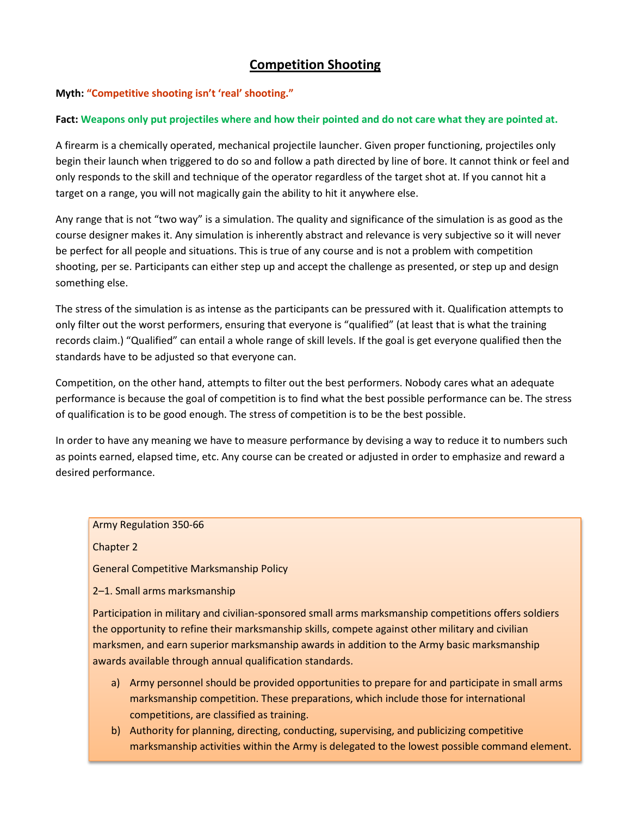# **Competition Shooting**

#### **Myth: "Competitive shooting isn't 'real' shooting."**

#### **Fact: Weapons only put projectiles where and how their pointed and do not care what they are pointed at.**

A firearm is a chemically operated, mechanical projectile launcher. Given proper functioning, projectiles only begin their launch when triggered to do so and follow a path directed by line of bore. It cannot think or feel and only responds to the skill and technique of the operator regardless of the target shot at. If you cannot hit a target on a range, you will not magically gain the ability to hit it anywhere else.

Any range that is not "two way" is a simulation. The quality and significance of the simulation is as good as the course designer makes it. Any simulation is inherently abstract and relevance is very subjective so it will never be perfect for all people and situations. This is true of any course and is not a problem with competition shooting, per se. Participants can either step up and accept the challenge as presented, or step up and design something else.

The stress of the simulation is as intense as the participants can be pressured with it. Qualification attempts to only filter out the worst performers, ensuring that everyone is "qualified" (at least that is what the training records claim.) "Qualified" can entail a whole range of skill levels. If the goal is get everyone qualified then the standards have to be adjusted so that everyone can.

Competition, on the other hand, attempts to filter out the best performers. Nobody cares what an adequate performance is because the goal of competition is to find what the best possible performance can be. The stress of qualification is to be good enough. The stress of competition is to be the best possible.

In order to have any meaning we have to measure performance by devising a way to reduce it to numbers such as points earned, elapsed time, etc. Any course can be created or adjusted in order to emphasize and reward a desired performance.

#### Army Regulation 350-66

Chapter 2

General Competitive Marksmanship Policy

2–1. Small arms marksmanship

Participation in military and civilian-sponsored small arms marksmanship competitions offers soldiers the opportunity to refine their marksmanship skills, compete against other military and civilian marksmen, and earn superior marksmanship awards in addition to the Army basic marksmanship awards available through annual qualification standards.

- a) Army personnel should be provided opportunities to prepare for and participate in small arms marksmanship competition. These preparations, which include those for international competitions, are classified as training.
- b) Authority for planning, directing, conducting, supervising, and publicizing competitive marksmanship activities within the Army is delegated to the lowest possible command element.